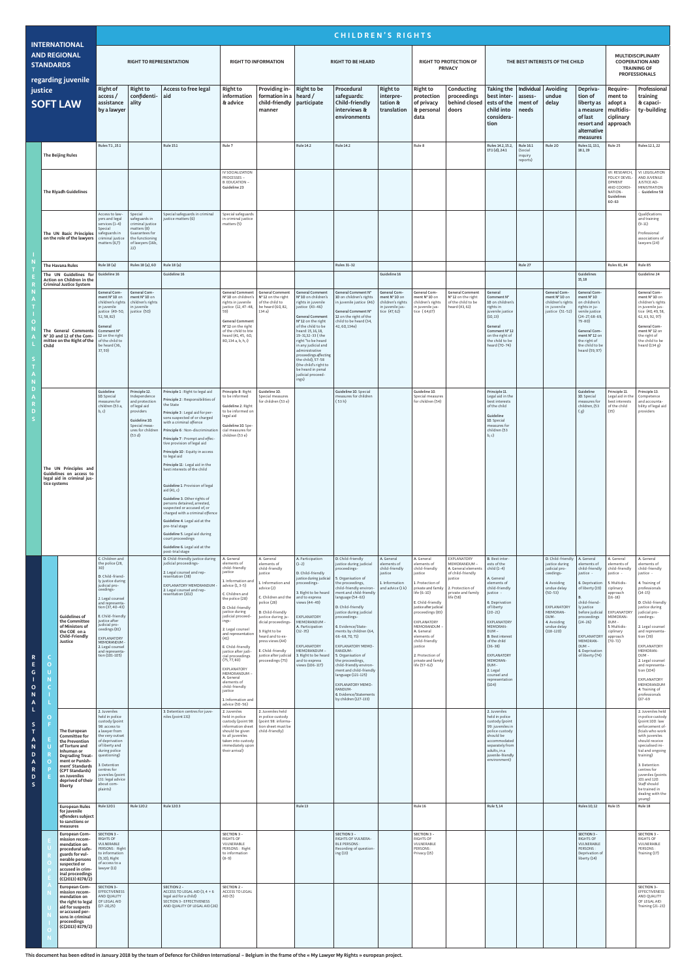| <b>INTERNATIONAL</b><br><b>AND REGIONAL</b><br><b>STANDARDS</b><br>regarding juvenile<br>justice<br><b>SOFT LAW</b>                                          |                                                                                                |                                                                                                                                                                                                                            | <b>CHILDREN'S RIGHTS</b>                                                                                                                                                                                                                                                                                                                           |                                                                                                                                               |                                                                                                                                                                                                                                                                                                                                                                                                                                                                                                                                                                                                                                                     |                                                                                                                                                                                                                                                                                                                             |                                                                                                                                                                                                                                                                                                             |                                                                                                                                                                                                                                                                                                                                                                                                 |                                                                                                                                                                                                                                                                                                                                                                                 |                                                                                              |                                                                                                                                                                                                                                                                                                   |                                                                                                                                         |                                                                                                                                                                                                                                                                                 |                                             |                                                                                                                                                                                              |                                                                                                                                                                                                                                                                  |                                                                                                                                                                                                         |                                                                                                                                                                                                                                                                                                         |
|--------------------------------------------------------------------------------------------------------------------------------------------------------------|------------------------------------------------------------------------------------------------|----------------------------------------------------------------------------------------------------------------------------------------------------------------------------------------------------------------------------|----------------------------------------------------------------------------------------------------------------------------------------------------------------------------------------------------------------------------------------------------------------------------------------------------------------------------------------------------|-----------------------------------------------------------------------------------------------------------------------------------------------|-----------------------------------------------------------------------------------------------------------------------------------------------------------------------------------------------------------------------------------------------------------------------------------------------------------------------------------------------------------------------------------------------------------------------------------------------------------------------------------------------------------------------------------------------------------------------------------------------------------------------------------------------------|-----------------------------------------------------------------------------------------------------------------------------------------------------------------------------------------------------------------------------------------------------------------------------------------------------------------------------|-------------------------------------------------------------------------------------------------------------------------------------------------------------------------------------------------------------------------------------------------------------------------------------------------------------|-------------------------------------------------------------------------------------------------------------------------------------------------------------------------------------------------------------------------------------------------------------------------------------------------------------------------------------------------------------------------------------------------|---------------------------------------------------------------------------------------------------------------------------------------------------------------------------------------------------------------------------------------------------------------------------------------------------------------------------------------------------------------------------------|----------------------------------------------------------------------------------------------|---------------------------------------------------------------------------------------------------------------------------------------------------------------------------------------------------------------------------------------------------------------------------------------------------|-----------------------------------------------------------------------------------------------------------------------------------------|---------------------------------------------------------------------------------------------------------------------------------------------------------------------------------------------------------------------------------------------------------------------------------|---------------------------------------------|----------------------------------------------------------------------------------------------------------------------------------------------------------------------------------------------|------------------------------------------------------------------------------------------------------------------------------------------------------------------------------------------------------------------------------------------------------------------|---------------------------------------------------------------------------------------------------------------------------------------------------------------------------------------------------------|---------------------------------------------------------------------------------------------------------------------------------------------------------------------------------------------------------------------------------------------------------------------------------------------------------|
|                                                                                                                                                              |                                                                                                | <b>RIGHT TO REPRESENTATION</b>                                                                                                                                                                                             |                                                                                                                                                                                                                                                                                                                                                    |                                                                                                                                               | <b>RIGHT TO INFORMATION</b>                                                                                                                                                                                                                                                                                                                                                                                                                                                                                                                                                                                                                         |                                                                                                                                                                                                                                                                                                                             | <b>RIGHT TO BE HEARD</b>                                                                                                                                                                                                                                                                                    |                                                                                                                                                                                                                                                                                                                                                                                                 |                                                                                                                                                                                                                                                                                                                                                                                 | <b>RIGHT TO PROTECTION OF</b><br><b>PRIVACY</b>                                              |                                                                                                                                                                                                                                                                                                   | THE BEST INTERESTS OF THE CHILD                                                                                                         |                                                                                                                                                                                                                                                                                 |                                             |                                                                                                                                                                                              | <b>MULTIDISCIPLINARY</b><br><b>COOPERATION AND</b><br><b>TRAINING OF</b><br><b>PROFESSIONALS</b>                                                                                                                                                                 |                                                                                                                                                                                                         |                                                                                                                                                                                                                                                                                                         |
|                                                                                                                                                              |                                                                                                | <b>Right of</b><br>access/<br>assistance<br>by a lawyer                                                                                                                                                                    | <b>Right to</b><br>confidenti-<br>ality                                                                                                                                                                                                                                                                                                            | Access to free legal<br>aid                                                                                                                   | <b>Right to</b><br>information<br>& advice                                                                                                                                                                                                                                                                                                                                                                                                                                                                                                                                                                                                          | Providing in- Right to be<br>  formation in a   heard /<br>child-friendly participate<br>manner                                                                                                                                                                                                                             |                                                                                                                                                                                                                                                                                                             | Procedural<br>safeguards:<br><b>Child-friendly</b><br>interviews &<br>environments                                                                                                                                                                                                                                                                                                              | <b>Right to</b><br>interpre-<br>tation &<br>translation                                                                                                                                                                                                                                                                                                                         | <b>Right to</b><br>protection<br>of privacy<br>& personal<br>data                            | Conducting<br>proceedings<br>behind closed<br>doors                                                                                                                                                                                                                                               | <b>Taking the</b><br>best inter-<br>ests of the<br>child into<br>considera-<br>tion                                                     | Individual Avoiding<br>assess-<br>$ $ ment of<br>needs                                                                                                                                                                                                                          | undue<br>delay                              | Depriva-<br>tion of<br>liberty as<br>a measure<br>of last<br>resort and $ $<br>alternative<br>measures                                                                                       | Require-<br>ment to<br>adopt a<br>multidis-<br>ciplinary<br>approach                                                                                                                                                                                             | Professional<br>training<br>& capaci-<br>ty-building                                                                                                                                                    |                                                                                                                                                                                                                                                                                                         |
|                                                                                                                                                              |                                                                                                | <b>The Beijing Rules</b>                                                                                                                                                                                                   | Rules 7.1, 15.1                                                                                                                                                                                                                                                                                                                                    |                                                                                                                                               | <b>Rule 15.1</b>                                                                                                                                                                                                                                                                                                                                                                                                                                                                                                                                                                                                                                    | Rule 7                                                                                                                                                                                                                                                                                                                      |                                                                                                                                                                                                                                                                                                             | <b>Rule 14.2</b>                                                                                                                                                                                                                                                                                                                                                                                | <b>Rule 14.2</b>                                                                                                                                                                                                                                                                                                                                                                |                                                                                              | Rule 8                                                                                                                                                                                                                                                                                            |                                                                                                                                         | Rules 14.2, 15.2,<br>17.1 (d), 24.1                                                                                                                                                                                                                                             | Rule 16.1<br>(Social<br>inquiry<br>reports) | Rule 20                                                                                                                                                                                      | Rules 11, 13.1,<br>18.1, 19                                                                                                                                                                                                                                      | Rule 25                                                                                                                                                                                                 | Rules 12.1, 22                                                                                                                                                                                                                                                                                          |
|                                                                                                                                                              |                                                                                                | The Riyadh Guidelines                                                                                                                                                                                                      |                                                                                                                                                                                                                                                                                                                                                    |                                                                                                                                               |                                                                                                                                                                                                                                                                                                                                                                                                                                                                                                                                                                                                                                                     | IV SOCIALIZATION<br>PROCESSES -<br><b>B. EDUCATION -</b><br>Guideline 23                                                                                                                                                                                                                                                    |                                                                                                                                                                                                                                                                                                             |                                                                                                                                                                                                                                                                                                                                                                                                 |                                                                                                                                                                                                                                                                                                                                                                                 |                                                                                              |                                                                                                                                                                                                                                                                                                   |                                                                                                                                         |                                                                                                                                                                                                                                                                                 |                                             |                                                                                                                                                                                              |                                                                                                                                                                                                                                                                  | VII. RESEARCH,<br>POLICY DEVEL<br>OPMENT<br>AND COORDI-<br>NATION-<br>Guidelines<br>$60 - 63$                                                                                                           | VI. LEGISLATION<br>AND JUVENILE<br><b>JUSTICE AD-</b><br><b>MINISTRATION</b><br>Guideline 58                                                                                                                                                                                                            |
|                                                                                                                                                              |                                                                                                | The UN Basic Principles<br>on the role of the lawyers                                                                                                                                                                      | Access to law-<br>yers and legal<br>services (1-4)<br>Special<br>safeguards in<br>criminal justice<br>matters $(6,7)$                                                                                                                                                                                                                              | Special<br>safeguards in<br>criminal justice<br>matters(8)<br>Guarantees for<br>the functioning<br>of lawyers (16b,<br>22)                    | Special safeguards in criminal<br>justice matters (6)                                                                                                                                                                                                                                                                                                                                                                                                                                                                                                                                                                                               | Special safeguards<br>in criminal justice<br>matters (5)                                                                                                                                                                                                                                                                    |                                                                                                                                                                                                                                                                                                             |                                                                                                                                                                                                                                                                                                                                                                                                 |                                                                                                                                                                                                                                                                                                                                                                                 |                                                                                              |                                                                                                                                                                                                                                                                                                   |                                                                                                                                         |                                                                                                                                                                                                                                                                                 |                                             |                                                                                                                                                                                              |                                                                                                                                                                                                                                                                  |                                                                                                                                                                                                         | Qualifications<br>and training<br>$(9-11)$<br>Professional<br>associations of<br>lawyers (24)                                                                                                                                                                                                           |
|                                                                                                                                                              |                                                                                                | <b>The Havana Rules</b>                                                                                                                                                                                                    | Rule 18 (a)                                                                                                                                                                                                                                                                                                                                        | Rules 18 (a), 60                                                                                                                              | Rule 18 (a)                                                                                                                                                                                                                                                                                                                                                                                                                                                                                                                                                                                                                                         |                                                                                                                                                                                                                                                                                                                             |                                                                                                                                                                                                                                                                                                             |                                                                                                                                                                                                                                                                                                                                                                                                 | <b>Rules 31-32</b>                                                                                                                                                                                                                                                                                                                                                              |                                                                                              |                                                                                                                                                                                                                                                                                                   |                                                                                                                                         |                                                                                                                                                                                                                                                                                 | Rule 27                                     |                                                                                                                                                                                              |                                                                                                                                                                                                                                                                  | Rules 81, 84                                                                                                                                                                                            | Rule 85                                                                                                                                                                                                                                                                                                 |
|                                                                                                                                                              |                                                                                                | The UN Guidelines for<br>Action on Children in the<br><b>Criminal Justice System</b>                                                                                                                                       | Guideline 16                                                                                                                                                                                                                                                                                                                                       |                                                                                                                                               | Guideline 16                                                                                                                                                                                                                                                                                                                                                                                                                                                                                                                                                                                                                                        |                                                                                                                                                                                                                                                                                                                             |                                                                                                                                                                                                                                                                                                             |                                                                                                                                                                                                                                                                                                                                                                                                 |                                                                                                                                                                                                                                                                                                                                                                                 | Guideline 16                                                                                 |                                                                                                                                                                                                                                                                                                   |                                                                                                                                         |                                                                                                                                                                                                                                                                                 |                                             |                                                                                                                                                                                              | Guidelines<br>15,18                                                                                                                                                                                                                                              |                                                                                                                                                                                                         | Guideline 24                                                                                                                                                                                                                                                                                            |
| O                                                                                                                                                            | Child                                                                                          | The General Comments<br>N° 10 and 12 of the Com-<br>mittee on the Right of the                                                                                                                                             | General Com-<br>ment N° 10 on<br>children's rights<br>in juvenile<br>justice (49-50,<br>52, 58, 82)<br>General<br>Comment N°<br>12 on the right<br>of the child to<br>be heard (36,<br>37, 59)                                                                                                                                                     | General Com-<br>ment N° 10 on<br>children's rights<br>in juvenile<br>justice (50)                                                             |                                                                                                                                                                                                                                                                                                                                                                                                                                                                                                                                                                                                                                                     | General Comment<br>$N°10$ on children's   $N°12$ on the right<br>rights in juvenile<br>justice (12, 47-48, be heard (60, 82,<br>59)<br><b>General Comment</b><br>N° 12 on the right<br>of the child to bte<br>heard (41, 45, 60,<br>80, 134 a, b, h, i)                                                                     | <b>General Comment</b><br>of the child to<br>134 a)                                                                                                                                                                                                                                                         | <b>General Comment</b><br>N° 10 on children's<br>rights in juvenile<br>justice (43-46)<br><b>General Comment</b><br>N° 12 on the right<br>of the child to be<br>heard: 15, 16, 18,<br>19-31,32-33 (the<br>right "to be heard<br>in any judicial and<br>administrative<br>proceedings affecting<br>the child), 57-58<br>(the child's right to<br>be heard in penal<br>judicial proceed-<br>ings) | General Comment N°<br>10 on children's rights<br>in juvenile justice (46)<br>General Comment N°<br>12 on the right of the<br>child to be heard (34,<br>42, 60, 134e)                                                                                                                                                                                                            | General Com-<br>ment N° 10 on<br>children's rights<br>in juvenile jus-<br>tice (47, 62)      | General Com-<br>ment N°10 on<br>children's rights<br>in juvenile jus-<br>tice (64,67)                                                                                                                                                                                                             | <b>General Comment</b><br>N°12 on the right<br>of the child to be<br>heard (43, 61)                                                     | General<br>Comment N°<br>10 on children's<br>rights in<br>juvenile justice<br>(10, 13)<br>General<br>Comment N° 12<br>on the right of<br>the child to be<br>heard (70-74)                                                                                                       |                                             | General Com-<br>ment N° 10 on<br>children's rights<br>in juvenile<br>justice (51-52)                                                                                                         | General Com-<br>ment N° 10<br>on children's<br>rights in ju-<br>venile justice<br>$(24 - 27, 68 - 69,$<br>79-80)<br>General Com-<br>ment N° 12 on<br>the right of<br>the child to be<br>heard (59, 97)                                                           |                                                                                                                                                                                                         | General Com-<br>ment N° 10 on<br>children's rights<br>in juvenile jus-<br>tice (40, 49, 58,<br>62, 63, 92, 97)<br>General Com-<br>ment N° 12 on<br>the right of<br>the child to be<br>heard (134 g)                                                                                                     |
| D                                                                                                                                                            | The UN Principles and<br>Guidelines on access to<br>legal aid in criminal jus-<br>tice systems |                                                                                                                                                                                                                            | Guideline<br>10. Special<br>measures for<br>children (53 a<br>b, c)                                                                                                                                                                                                                                                                                | Principle 12.<br>Independence<br>and protection<br>of legal aid<br>providers<br>Guideline 10.<br>Special meas-<br>ures for children<br>(53 d) | Principle 1 : Right to legal aid<br>Principle 2 : Responsibilities of<br>the State<br>Principle 3 : Legal aid for per-<br>sons suspected of or charged<br>with a criminal offence<br>Principle 6 : Non-discrimination<br>Principle 7 : Prompt and effec-<br>tive provision of legal aid<br>Principle 10 : Equity in access<br>to legal aid<br>Principle 11 : Legal aid in the<br>best interests of the child<br>Guideline 1. Provision of legal<br>aid (41, c)<br>Guideline 3. Other rights of<br>persons detained, arrested,<br>suspected or accused of, or<br>charged with a criminal offence<br>Guideline 4. Legal aid at the<br>pre-trial stage | Principle 8: Right<br>to be informed<br>Guideline 2. Right<br>to be informed on<br>legal aid<br>Guideline 10. Spe-<br>cial measures for<br>children (53 e)                                                                                                                                                                  | Guideline 10.<br>Special measures<br>for children (53 e)                                                                                                                                                                                                                                                    |                                                                                                                                                                                                                                                                                                                                                                                                 | Guideline 10. Special<br>measures for children<br>(53 h)                                                                                                                                                                                                                                                                                                                        |                                                                                              | Guideline 10.<br>Special measures<br>for children (54)                                                                                                                                                                                                                                            |                                                                                                                                         | Principle 11.<br>Legal aid in the<br>best interests<br>of the child<br>Guideline<br>10. Special<br>measures for<br>children (53<br>b, c)                                                                                                                                        |                                             |                                                                                                                                                                                              | Guideline<br>10. Special<br>measures for<br>children, (53<br>$f, g$ )                                                                                                                                                                                            | Principle 11.<br>Legal aid in the<br>best interests<br>of the child<br>(35)                                                                                                                             | Principle 13.<br>Competence<br>and accounta-<br>bility of legal aid<br>providers                                                                                                                                                                                                                        |
| ${\bf R}$<br>E.<br>$\mathsf{G}$<br>$\mathbf{o}$<br>N<br>$\mathbf{A}$<br>S<br>$\mathbf{T}$<br>$\mathbf{A}$<br>N<br>D<br>$\mathbf{A}$<br>$\mathbf R$<br>D<br>S |                                                                                                | <b>Guidelines of</b><br>the Committee<br>of Ministers of<br>the COE on a<br><b>Child-Friendly</b><br>Justice                                                                                                               | C. Children and<br>the police (28,<br>30)<br>D. Child-friend-<br>ly justice during<br>judicial pro-<br>ceedings-<br>2. Legal counsel<br>and representa-<br>tion (37, 40-43)<br>E. Child-friendly<br>justice after<br>judicial pro-<br>ceedings (81)<br><b>EXPLANATORY</b><br>MEMORANDUM -<br>2. Legal counsel<br>and representa-<br>tion (101-105) |                                                                                                                                               | Guideline 5. Legal aid during<br>court proceedings<br>Guideline 6. Legal aid at the<br>post-trial stage<br>D. Child-friendly justice during<br>judicial proceedings-<br>2. Legal counsel and rep-<br>resentation (38)<br><b>EXPLANATORY MEMORANDUM</b><br>2. Legal counsel and rep-<br>resentation (102)                                                                                                                                                                                                                                                                                                                                            | A. General<br>elements of<br>child-friendly<br>justice<br>1. Information and<br>advice (1, 3-5)<br>C. Children and<br>the police (28)<br>D. Child-friendly<br>justice during<br>judicial proceed-<br>ings-<br>2. Legal counsel<br>and representation<br>(41)<br>E. Child-friendly<br>justice after judi<br>cial proceedings | A. General<br>elements of<br>child-friendly<br>justice<br>1. Information and<br>advice (2)<br>C. Children and the<br>police (28)<br>D. Child-friendly<br>justice during ju-<br>dicial proceedings-<br>3. Right to be<br>heard and to ex-<br>press views (44)<br>E. Child-friendly<br>justice after judicial | A. Participation<br>$(1-2)$<br>D. Child-friendly<br>justice during judicial<br>proceedings-<br>3. Right to be heard<br>and to express<br>views (44-49)<br>EXPLANATORY<br>MEMORANDUM -<br>A. Participation<br>$(32-35)$<br><b>EXPLANATORY</b><br>MEMORANDUM -<br>3. Right to be heard                                                                                                            | D. Child-friendly<br>justice during judicial<br>proceedings-<br>5. Organisation of<br>the proceedings,<br>child-friendly environ-<br>ment and child-friendly<br>language (54-63)<br>D. Child-friendly<br>justice during judicial<br>proceedings-<br>6. Evidence/State-<br>ments by children (64,<br>66-68, 70, 71)<br><b>EXPLANATORY MEMO-</b><br>RANDUM-<br>5. Organisation of | A. General<br>elements of<br>child-friendly<br>justice<br>1. Information<br>and advice (1 k) | A. General<br>elements of<br>child-friendly<br>justice<br>1. Protection of<br>private and family<br>life $(6-10)$<br>E. Child-friendly<br>justice after judicial<br>proceedings (83)<br>EXPLANATORY<br>MEMORANDUM ·<br>A. General<br>elements of<br>child-friendly<br>justice<br>2. Protection of | EXPLANATORY<br>MEMORANDUM<br>A. General elements<br>of child-friendly<br>justice<br>2. Protection of<br>private and family<br>life (58) | B. Best inter-<br>ests of the<br>child $(1-4)$<br>A. General<br>elements of<br>child-friendly<br>justice -<br>6. Deprivation<br>of liberty<br>$(20-21)$<br><b>EXPLANATORY</b><br>MEMORAN-<br>DUM-<br><b>B.</b> Best interest<br>of the child<br>$(36-38)$<br><b>EXPLANATORY</b> |                                             | D. Child-friendly<br>justice during<br>judicial pro-<br>ceedings-<br>4. Avoiding<br>undue delay<br>$(50-53)$<br>EXPLANATORY<br>MEMORAN-<br>DUM-<br>4. Avoiding<br>undue delay<br>$(118-120)$ | A. General<br>elements of<br>child-friendly<br>justice -<br>6. Deprivation<br>of liberty (19)<br><b>B.</b><br>child-friend-<br>ly justice<br>before judicial<br>proceedings<br>$(24-26)$<br>EXPLANATORY<br>MEMORAN-<br>DUM-<br>6. Deprivation<br>of liberty (74) | A. General<br>elements of<br>child-friendly<br>justice -<br>5. Multidis<br>ciplinary<br>approach<br>$(16-18)$<br>EXPLANATORY<br>MEMORAN-<br>DUM -<br>5. Multidis-<br>ciplinary<br>approach<br>$(70-72)$ | A. General<br>elements of<br>child-friendly<br>justice -<br>4. Training of<br>professionals<br>$(14-15)$<br>D. Child-friendly<br>justice during<br>judicial pro-<br>ceedings-<br>2. Legal counsel<br>and representa-<br>tion (39)<br>EXPLANATORY<br>MEMORAN-<br>DUM -                                   |
|                                                                                                                                                              | $\overline{O}$<br>-N                                                                           |                                                                                                                                                                                                                            | 2. Juveniles                                                                                                                                                                                                                                                                                                                                       |                                                                                                                                               | 3. Detention centres for juve-                                                                                                                                                                                                                                                                                                                                                                                                                                                                                                                                                                                                                      | (75, 77, 80)<br>EXPLANATORY<br>MEMORANDUM -<br>A. General<br>elements of<br>child-friendly<br>justice<br>1. Information and<br>advice (50-56)<br>2. Juveniles                                                                                                                                                               | proceedings (75)<br>2. Juveniles held                                                                                                                                                                                                                                                                       | and to express<br>views (106-117)                                                                                                                                                                                                                                                                                                                                                               | the proceedings,<br>child-friendly environ-<br>ment and child-friendly<br>language (121-125)<br><b>EXPLANATORY MEMO-</b><br>RANDUM-<br>6. Evidence/Statements<br>by children (127-133)                                                                                                                                                                                          |                                                                                              | private and family<br>life (57-62)                                                                                                                                                                                                                                                                |                                                                                                                                         | MEMORAN-<br>DUM-<br>2. Legal<br>counsel and<br>representation<br>(104)<br>2. Juveniles                                                                                                                                                                                          |                                             |                                                                                                                                                                                              |                                                                                                                                                                                                                                                                  |                                                                                                                                                                                                         | 2. Legal counsel<br>and representa-<br>tion (104)<br>EXPLANATORY<br>MEMORANDUM<br>4. Training of<br>professionals<br>$(67 - 69)$<br>2. Juveniles held                                                                                                                                                   |
|                                                                                                                                                              | $\mathbf{O}$<br>T<br>$\overline{O}$                                                            | The European<br><b>Committee for</b><br>the Prevention<br>of Torture and<br>Inhuman or<br><b>Degrading Treat-</b><br>ment or Punish-<br>ment' Standards<br>(CPT Standards)<br>on Juveniles<br>deprived of their<br>liberty | held in police<br>custody (point<br>98: access to<br>a lawyer from<br>the very outset<br>of deprivation<br>of liberty and<br>during police<br>questioning)<br>3. Detention<br>centres for<br>juveniles (point<br>131: legal advice<br>about com-<br>plaints)                                                                                       |                                                                                                                                               | niles (point 131)                                                                                                                                                                                                                                                                                                                                                                                                                                                                                                                                                                                                                                   | held in police<br>information sheet<br>should be given<br>to all juveniles<br>taken into custody<br>immediately upon<br>their arrival)                                                                                                                                                                                      | in police custody<br>custody (point 98:   (point 98: informa-<br>tion sheet must be<br>child-friendly)                                                                                                                                                                                                      |                                                                                                                                                                                                                                                                                                                                                                                                 |                                                                                                                                                                                                                                                                                                                                                                                 |                                                                                              |                                                                                                                                                                                                                                                                                                   |                                                                                                                                         | held in police<br>custody (point<br>99: juveniles in<br>police custody<br>should be<br>accommodated<br>separately from<br>adults, in a<br>juvenile-friendly<br>environment)                                                                                                     |                                             |                                                                                                                                                                                              |                                                                                                                                                                                                                                                                  |                                                                                                                                                                                                         | in police custody<br>(point 100: law<br>enforcement of-<br>ficials who work<br>with juveniles<br>should receive<br>specialised ini-<br>tial and ongoing<br>training)<br>3. Detention<br>centres for<br>juveniles (points<br>101 and 120:<br>Staff should<br>be trained in<br>dealing with the<br>young) |
|                                                                                                                                                              |                                                                                                | European Rules<br>for juvenile                                                                                                                                                                                             | Rule 120.1                                                                                                                                                                                                                                                                                                                                         | Rule 120.2                                                                                                                                    | Rule 120.3                                                                                                                                                                                                                                                                                                                                                                                                                                                                                                                                                                                                                                          |                                                                                                                                                                                                                                                                                                                             |                                                                                                                                                                                                                                                                                                             | Rule 13                                                                                                                                                                                                                                                                                                                                                                                         |                                                                                                                                                                                                                                                                                                                                                                                 |                                                                                              | Rule 16                                                                                                                                                                                                                                                                                           |                                                                                                                                         | Rule 5, 14                                                                                                                                                                                                                                                                      |                                             |                                                                                                                                                                                              | Rules 10, 12                                                                                                                                                                                                                                                     | Rule 15                                                                                                                                                                                                 | Rule 18                                                                                                                                                                                                                                                                                                 |
|                                                                                                                                                              |                                                                                                | offenders subject<br>to sanctions or<br>measures<br>European Com-<br>mission recom-<br>mendation on<br>procedural safe-<br>guards for vul-<br>nerable persons<br>suspected or<br>accused in crim-                          | SECTION 3 -<br>RIGHTS OF<br>VULNERABLE<br>PERSONS: Right<br>to information<br>(9, 10), Right<br>of access to a<br>lawyer (11)                                                                                                                                                                                                                      |                                                                                                                                               |                                                                                                                                                                                                                                                                                                                                                                                                                                                                                                                                                                                                                                                     | SECTION 3 -<br>RIGHTS OF<br>VULNERABLE<br>PERSONS: Right<br>to information<br>$(8-9)$                                                                                                                                                                                                                                       |                                                                                                                                                                                                                                                                                                             |                                                                                                                                                                                                                                                                                                                                                                                                 | <b>SECTION 3 -</b><br>RIGHTS OF VULNERA-<br><b>BLE PERSONS</b><br>Recording of question-<br>ing(13)                                                                                                                                                                                                                                                                             |                                                                                              | SECTION 3 -<br><b>RIGHTS OF</b><br>VULNERABLE<br>PERSONS:<br>Privacy (15)                                                                                                                                                                                                                         |                                                                                                                                         |                                                                                                                                                                                                                                                                                 |                                             |                                                                                                                                                                                              | SECTION 3 -<br><b>RIGHTS OF</b><br>VULNERABLE<br>PERSONS:<br>Deprivation of<br>liberty (14)                                                                                                                                                                      |                                                                                                                                                                                                         | SECTION 3 -<br><b>RIGHTS OF</b><br>VULNERABLE<br>PERSONS:<br>Training (17)                                                                                                                                                                                                                              |
|                                                                                                                                                              | - U                                                                                            | inal proceedings<br>(C(2013) 8178/2)<br>European Com-<br>mission recom-<br>mendation on<br>the right to legal<br>aid for suspects<br>or accused per-<br>sons in criminal<br>proceedings<br>(C(2013) 8179/2)                | SECTION 3-<br><b>EFFECTIVENESS</b><br>AND QUALITY<br>OF LEGAL AID<br>$(17 - 20, 25)$                                                                                                                                                                                                                                                               |                                                                                                                                               | SECTION 2 -<br>ACCESS TO LEGAL AID $(3, 4 + 6)$<br>legal aid for a child)<br>SECTION 3- EFFECTIVENESS<br>AND QUALITY OF LEGAL AID (26)                                                                                                                                                                                                                                                                                                                                                                                                                                                                                                              | SECTION 2 -<br>ACCESS TO LEGAL<br>AID $(5)$                                                                                                                                                                                                                                                                                 |                                                                                                                                                                                                                                                                                                             |                                                                                                                                                                                                                                                                                                                                                                                                 |                                                                                                                                                                                                                                                                                                                                                                                 |                                                                                              |                                                                                                                                                                                                                                                                                                   |                                                                                                                                         |                                                                                                                                                                                                                                                                                 |                                             |                                                                                                                                                                                              |                                                                                                                                                                                                                                                                  |                                                                                                                                                                                                         | <b>SECTION 3-</b><br>EFFECTIVENESS<br>AND QUALITY<br>OF LEGAL AID:<br>Training (21-23)                                                                                                                                                                                                                  |